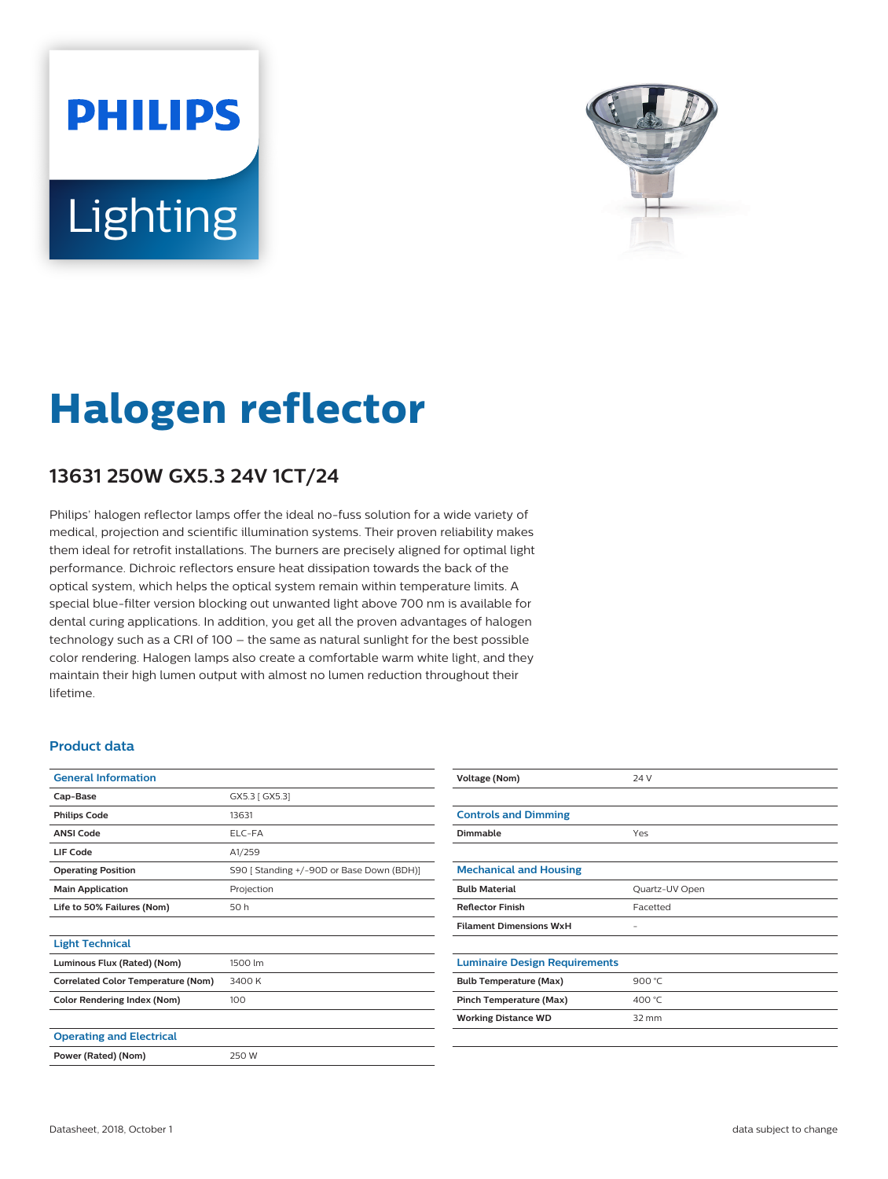# **PHILIPS** Lighting



# **Halogen reflector**

## **13631 250W GX5.3 24V 1CT/24**

Philips' halogen reflector lamps offer the ideal no-fuss solution for a wide variety of medical, projection and scientific illumination systems. Their proven reliability makes them ideal for retrofit installations. The burners are precisely aligned for optimal light performance. Dichroic reflectors ensure heat dissipation towards the back of the optical system, which helps the optical system remain within temperature limits. A special blue-filter version blocking out unwanted light above 700 nm is available for dental curing applications. In addition, you get all the proven advantages of halogen technology such as a CRI of 100 – the same as natural sunlight for the best possible color rendering. Halogen lamps also create a comfortable warm white light, and they maintain their high lumen output with almost no lumen reduction throughout their lifetime.

#### **Product data**

| <b>General Information</b>                |                                           |
|-------------------------------------------|-------------------------------------------|
| Cap-Base                                  | GX5.3 [ GX5.3]                            |
| <b>Philips Code</b>                       | 13631                                     |
| <b>ANSI Code</b>                          | FLC-FA                                    |
| LIF Code                                  | A1/259                                    |
| <b>Operating Position</b>                 | S90 [ Standing +/-90D or Base Down (BDH)] |
| <b>Main Application</b>                   | Projection                                |
| Life to 50% Failures (Nom)                | 50 h                                      |
|                                           |                                           |
| <b>Light Technical</b>                    |                                           |
| Luminous Flux (Rated) (Nom)               | 1500 lm                                   |
| <b>Correlated Color Temperature (Nom)</b> | 3400 K                                    |
| <b>Color Rendering Index (Nom)</b>        | 100                                       |
|                                           |                                           |
| <b>Operating and Electrical</b>           |                                           |
| Power (Rated) (Nom)                       | 250 W                                     |
|                                           |                                           |

| <b>Voltage (Nom)</b>                 | 24 V                     |
|--------------------------------------|--------------------------|
|                                      |                          |
| <b>Controls and Dimming</b>          |                          |
| Dimmable                             | Yes                      |
|                                      |                          |
| <b>Mechanical and Housing</b>        |                          |
| <b>Bulb Material</b>                 | Quartz-UV Open           |
| <b>Reflector Finish</b>              | Facetted                 |
| <b>Filament Dimensions WxH</b>       | $\overline{\phantom{0}}$ |
|                                      |                          |
| <b>Luminaire Design Requirements</b> |                          |
| <b>Bulb Temperature (Max)</b>        | 900 °C                   |
| Pinch Temperature (Max)              | 400 °C                   |
| <b>Working Distance WD</b>           | $32 \text{ mm}$          |
|                                      |                          |